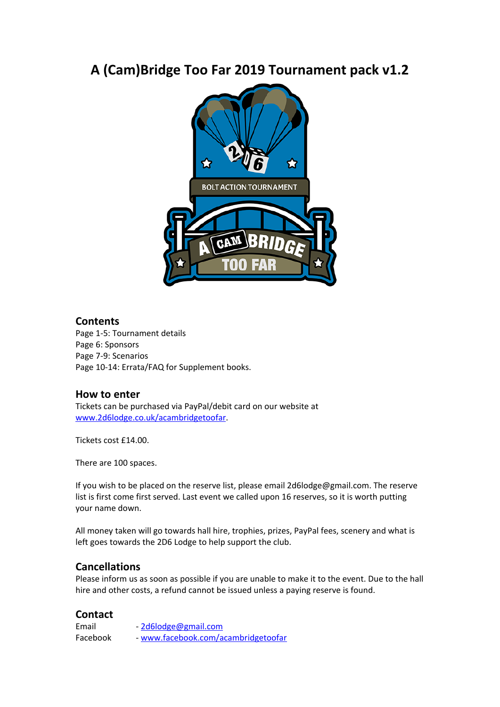# **A (Cam)Bridge Too Far 2019 Tournament pack v1.2**



### **Contents**

Page 1-5: Tournament details Page 6: Sponsors Page 7-9: Scenarios Page 10-14: Errata/FAQ for Supplement books.

### **How to enter**

Tickets can be purchased via PayPal/debit card on our website at [www.2d6lodge.co.uk/acambridgetoofar](http://www.2d6lodge.co.uk/acambridgetoofar).

Tickets cost £14.00.

There are 100 spaces.

If you wish to be placed on the reserve list, please email 2d6lodge@gmail.com. The reserve list is first come first served. Last event we called upon 16 reserves, so it is worth putting your name down.

All money taken will go towards hall hire, trophies, prizes, PayPal fees, scenery and what is left goes towards the 2D6 Lodge to help support the club.

### **Cancellations**

Please inform us as soon as possible if you are unable to make it to the event. Due to the hall hire and other costs, a refund cannot be issued unless a paying reserve is found.

### **Contact**

Email - [2d6lodge@gmail.com](mailto:2d6lodge@gmail.com) Facebook - [www.facebook.com/acambridgetoofar](http://www.facebook.com/acambridgetoofar)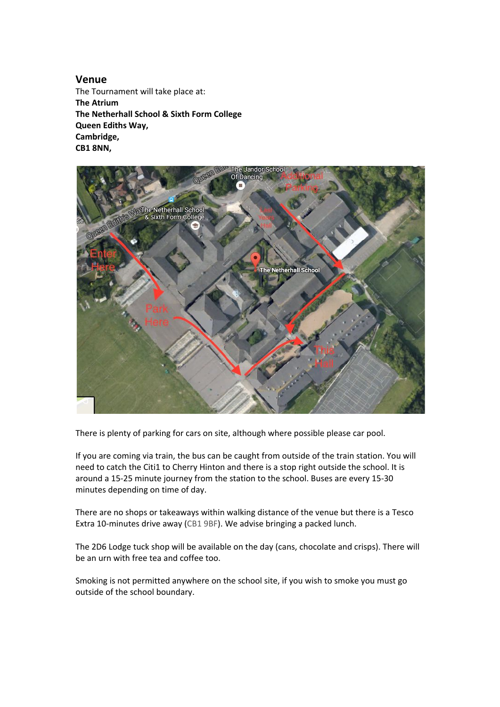**Venue** The Tournament will take place at: **The Atrium The Netherhall School & Sixth Form College Queen Ediths Way, Cambridge, CB1 8NN,**



There is plenty of parking for cars on site, although where possible please car pool.

If you are coming via train, the bus can be caught from outside of the train station. You will need to catch the Citi1 to Cherry Hinton and there is a stop right outside the school. It is around a 15-25 minute journey from the station to the school. Buses are every 15-30 minutes depending on time of day.

There are no shops or takeaways within walking distance of the venue but there is a Tesco Extra 10-minutes drive away (CB1 9BF). We advise bringing a packed lunch.

The 2D6 Lodge tuck shop will be available on the day (cans, chocolate and crisps). There will be an urn with free tea and coffee too.

Smoking is not permitted anywhere on the school site, if you wish to smoke you must go outside of the school boundary.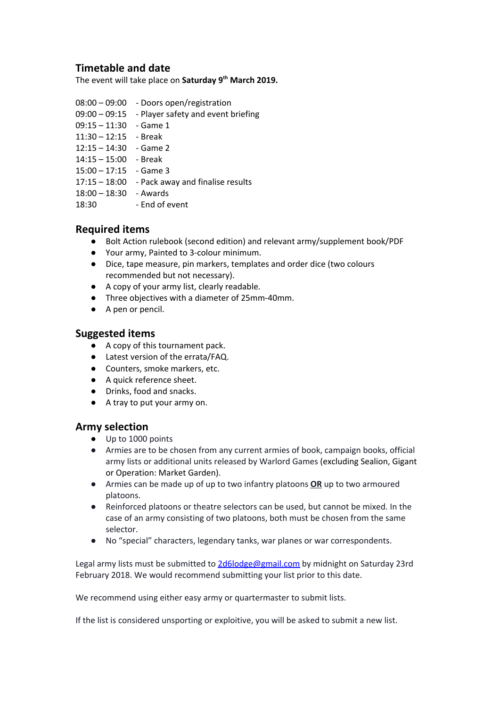## **Timetable and date**

The event will take place on **Saturday 9 th March 2019.**

- 08:00 09:00 Doors open/registration
- 09:00 09:15 Player safety and event briefing
- 09:15 11:30 Game 1
- $11:30 12:15$  Break
- $12:15 14:30$  Game 2
- 14:15 15:00 Break
- 15:00 17:15 Game 3
- 17:15 18:00 Pack away and finalise results
- 18:00 18:30 Awards
- 18:30 End of event

## **Required items**

- Bolt Action rulebook (second edition) and relevant army/supplement book/PDF
- Your army, Painted to 3-colour minimum.
- Dice, tape measure, pin markers, templates and order dice (two colours recommended but not necessary).
- A copy of your army list, clearly readable.
- Three objectives with a diameter of 25mm-40mm.
- A pen or pencil.

#### **Suggested items**

- A copy of this tournament pack.
- Latest version of the errata/FAQ.
- Counters, smoke markers, etc.
- A quick reference sheet.
- Drinks, food and snacks.
- A tray to put your army on.

### **Army selection**

- Up to 1000 points
- Armies are to be chosen from any current armies of book, campaign books, official army lists or additional units released by Warlord Games (excluding Sealion, Gigant or Operation: Market Garden).
- Armies can be made up of up to two infantry platoons **OR** up to two armoured platoons.
- Reinforced platoons or theatre selectors can be used, but cannot be mixed. In the case of an army consisting of two platoons, both must be chosen from the same selector.
- No "special" characters, legendary tanks, war planes or war correspondents.

Legal army lists must be submitted to [2d6lodge@gmail.com](mailto:2d6lodge@gmail.com) by midnight on Saturday 23rd February 2018. We would recommend submitting your list prior to this date.

We recommend using either easy army or quartermaster to submit lists.

If the list is considered unsporting or exploitive, you will be asked to submit a new list.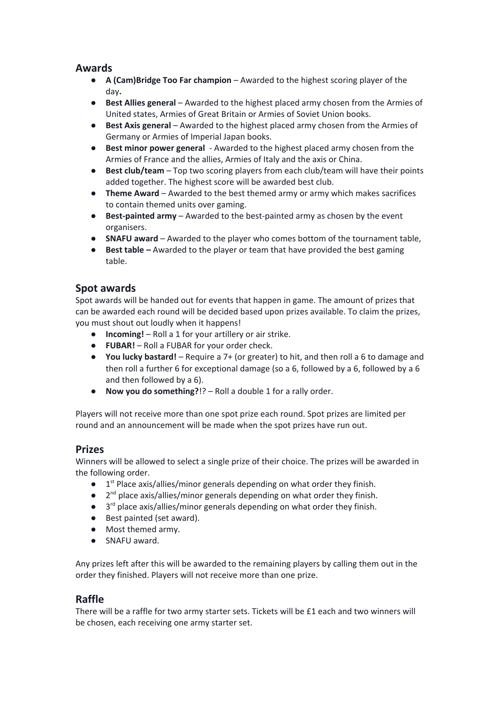## **Awards**

- **● A (Cam)Bridge Too Far champion** Awarded to the highest scoring player of the day**.**
- **● Best Allies general** Awarded to the highest placed army chosen from the Armies of United states, Armies of Great Britain or Armies of Soviet Union books.
- **● Best Axis general** Awarded to the highest placed army chosen from the Armies of Germany or Armies of Imperial Japan books.
- **● Best minor power general** Awarded to the highest placed army chosen from the Armies of France and the allies, Armies of Italy and the axis or China.
- **● Best club/team** Top two scoring players from each club/team will have their points added together. The highest score will be awarded best club.
- **● Theme Award** Awarded to the best themed army or army which makes sacrifices to contain themed units over gaming.
- **● Best-painted army** Awarded to the best-painted army as chosen by the event organisers.
- **● SNAFU award** Awarded to the player who comes bottom of the tournament table,
- **● Best table –** Awarded to the player or team that have provided the best gaming table.

## **Spot awards**

Spot awards will be handed out for events that happen in game. The amount of prizes that can be awarded each round will be decided based upon prizes available. To claim the prizes, you must shout out loudly when it happens!

- **Incoming!** Roll a 1 for your artillery or air strike.
- **FUBAR!** Roll a FUBAR for your order check.
- **You lucky bastard!** Require a 7+ (or greater) to hit, and then roll a 6 to damage and then roll a further 6 for exceptional damage (so a 6, followed by a 6, followed by a 6 and then followed by a 6).
- **Now you do something?**!? Roll a double 1 for a rally order.

Players will not receive more than one spot prize each round. Spot prizes are limited per round and an announcement will be made when the spot prizes have run out.

## **Prizes**

Winners will be allowed to select a single prize of their choice. The prizes will be awarded in the following order.

- $\bullet$  1<sup>st</sup> Place axis/allies/minor generals depending on what order they finish.
- $\bullet$  $2^{nd}$  place axis/allies/minor generals depending on what order they finish.
- $\bullet$  3<sup>rd</sup> place axis/allies/minor generals depending on what order they finish.
- Best painted (set award).
- Most themed army.
- SNAFU award.

Any prizes left after this will be awarded to the remaining players by calling them out in the order they finished. Players will not receive more than one prize.

## **Raffle**

There will be a raffle for two army starter sets. Tickets will be £1 each and two winners will be chosen, each receiving one army starter set.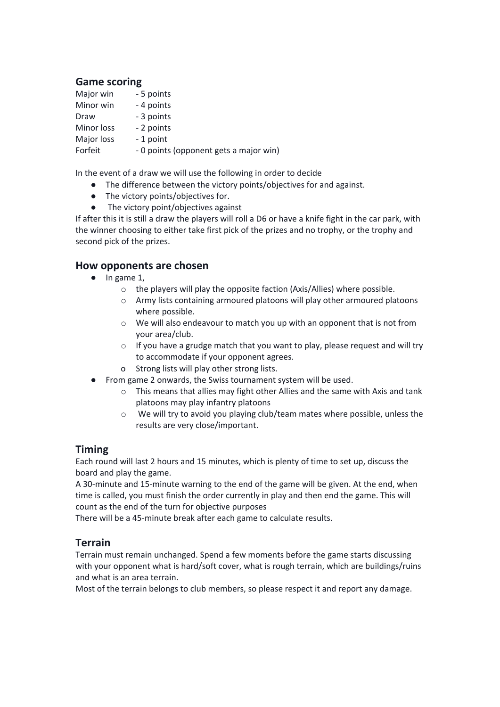## **Game scoring**

| Major win  | - 5 points                             |
|------------|----------------------------------------|
| Minor win  | - 4 points                             |
| Draw       | - 3 points                             |
| Minor loss | - 2 points                             |
| Major loss | - 1 point                              |
| Forfeit    | - 0 points (opponent gets a major win) |

In the event of a draw we will use the following in order to decide

- The difference between the victory points/objectives for and against.
- The victory points/objectives for.
- The victory point/objectives against

If after this it is still a draw the players will roll a D6 or have a knife fight in the car park, with the winner choosing to either take first pick of the prizes and no trophy, or the trophy and second pick of the prizes.

### **How opponents are chosen**

- $\bullet$  In game 1,
	- o the players will play the opposite faction (Axis/Allies) where possible.
	- o Army lists containing armoured platoons will play other armoured platoons where possible.
	- $\circ$  We will also endeavour to match you up with an opponent that is not from your area/club.
	- o If you have a grudge match that you want to play, please request and will try to accommodate if your opponent agrees.
	- o Strong lists will play other strong lists.
- From game 2 onwards, the Swiss tournament system will be used.
	- o This means that allies may fight other Allies and the same with Axis and tank platoons may play infantry platoons
	- o We will try to avoid you playing club/team mates where possible, unless the results are very close/important.

## **Timing**

Each round will last 2 hours and 15 minutes, which is plenty of time to set up, discuss the board and play the game.

A 30-minute and 15-minute warning to the end of the game will be given. At the end, when time is called, you must finish the order currently in play and then end the game. This will count as the end of the turn for objective purposes

There will be a 45-minute break after each game to calculate results.

### **Terrain**

Terrain must remain unchanged. Spend a few moments before the game starts discussing with your opponent what is hard/soft cover, what is rough terrain, which are buildings/ruins and what is an area terrain.

Most of the terrain belongs to club members, so please respect it and report any damage.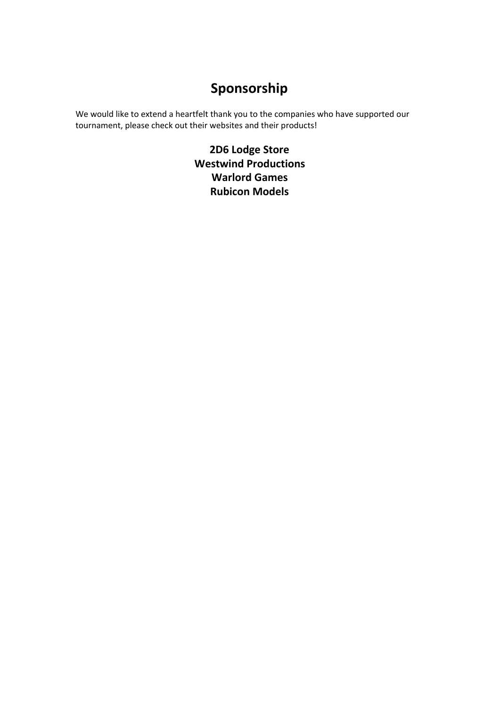# **Sponsorship**

We would like to extend a heartfelt thank you to the companies who have supported our tournament, please check out their websites and their products!

> **2D6 Lodge Store Westwind Productions Warlord Games Rubicon Models**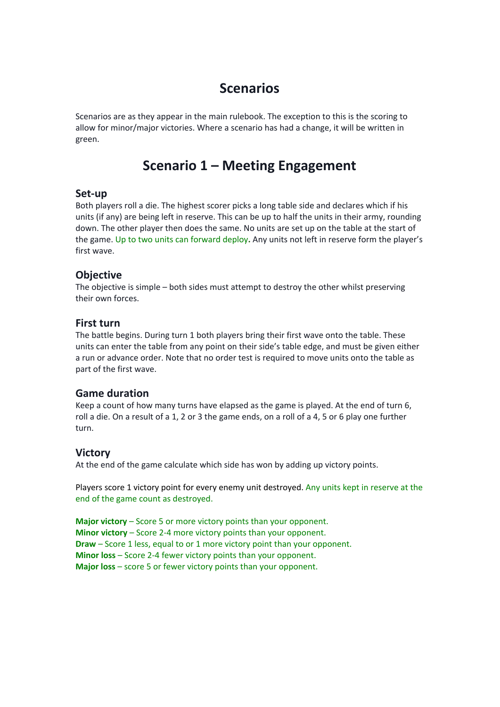# **Scenarios**

Scenarios are as they appear in the main rulebook. The exception to this is the scoring to allow for minor/major victories. Where a scenario has had a change, it will be written in green.

# **Scenario 1 – Meeting Engagement**

#### **Set-up**

Both players roll a die. The highest scorer picks a long table side and declares which if his units (if any) are being left in reserve. This can be up to half the units in their army, rounding down. The other player then does the same. No units are set up on the table at the start of the game. Up to two units can forward deploy**.** Any units not left in reserve form the player's first wave.

## **Objective**

The objective is simple – both sides must attempt to destroy the other whilst preserving their own forces.

#### **First turn**

The battle begins. During turn 1 both players bring their first wave onto the table. These units can enter the table from any point on their side's table edge, and must be given either a run or advance order. Note that no order test is required to move units onto the table as part of the first wave.

### **Game duration**

Keep a count of how many turns have elapsed as the game is played. At the end of turn 6, roll a die. On a result of a 1, 2 or 3 the game ends, on a roll of a 4, 5 or 6 play one further turn.

### **Victory**

At the end of the game calculate which side has won by adding up victory points.

Players score 1 victory point for every enemy unit destroyed. Any units kept in reserve at the end of the game count as destroyed.

**Major victory** – Score 5 or more victory points than your opponent. **Minor victory** – Score 2-4 more victory points than your opponent. **Draw** – Score 1 less, equal to or 1 more victory point than your opponent. **Minor loss** – Score 2-4 fewer victory points than your opponent. **Major loss** – score 5 or fewer victory points than your opponent.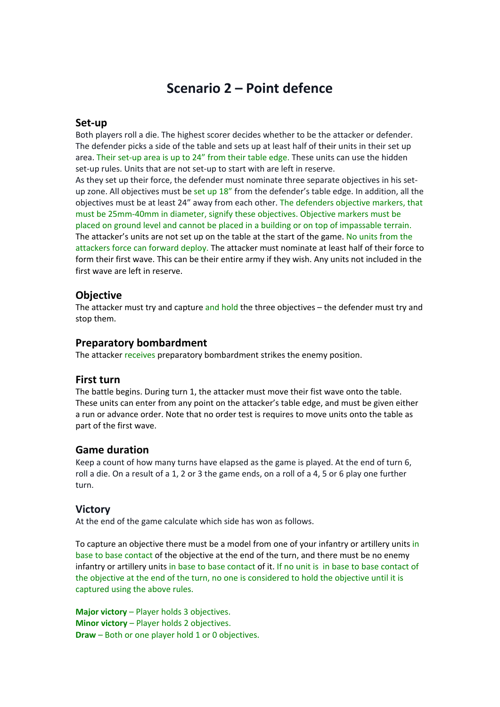## **Scenario 2 – Point defence**

#### **Set-up**

Both players roll a die. The highest scorer decides whether to be the attacker or defender. The defender picks a side of the table and sets up at least half of their units in their set up area. Their set-up area is up to 24" from their table edge. These units can use the hidden set-up rules. Units that are not set-up to start with are left in reserve.

As they set up their force, the defender must nominate three separate objectives in his setup zone. All objectives must be set up 18" from the defender's table edge. In addition, all the objectives must be at least 24" away from each other. The defenders objective markers, that must be 25mm-40mm in diameter, signify these objectives. Objective markers must be placed on ground level and cannot be placed in a building or on top of impassable terrain. The attacker's units are not set up on the table at the start of the game. No units from the attackers force can forward deploy. The attacker must nominate at least half of their force to form their first wave. This can be their entire army if they wish. Any units not included in the first wave are left in reserve.

#### **Objective**

The attacker must try and capture and hold the three objectives – the defender must try and stop them.

#### **Preparatory bombardment**

The attacker receives preparatory bombardment strikes the enemy position.

#### **First turn**

The battle begins. During turn 1, the attacker must move their fist wave onto the table. These units can enter from any point on the attacker's table edge, and must be given either a run or advance order. Note that no order test is requires to move units onto the table as part of the first wave.

#### **Game duration**

Keep a count of how many turns have elapsed as the game is played. At the end of turn 6, roll a die. On a result of a 1, 2 or 3 the game ends, on a roll of a 4, 5 or 6 play one further turn.

#### **Victory**

At the end of the game calculate which side has won as follows.

To capture an objective there must be a model from one of your infantry or artillery units in base to base contact of the objective at the end of the turn, and there must be no enemy infantry or artillery units in base to base contact of it. If no unit is in base to base contact of the objective at the end of the turn, no one is considered to hold the objective until it is captured using the above rules.

**Major victory** – Player holds 3 objectives. **Minor victory** – Player holds 2 objectives. **Draw** – Both or one player hold 1 or 0 objectives.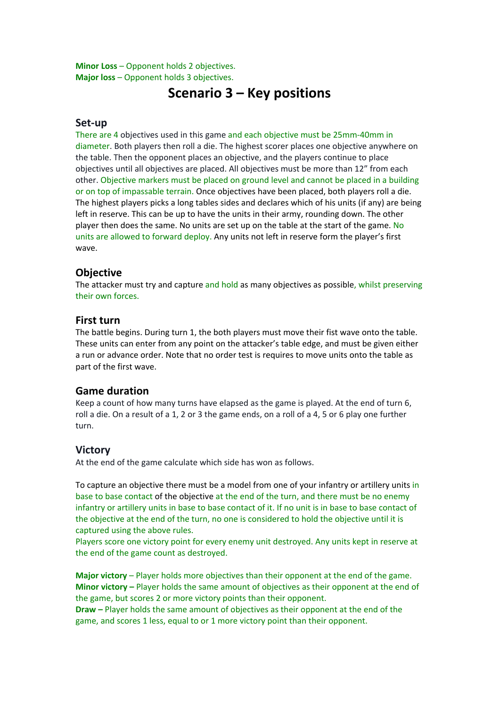**Minor Loss** – Opponent holds 2 objectives. **Major loss** – Opponent holds 3 objectives.

## **Scenario 3 – Key positions**

#### **Set-up**

There are 4 objectives used in this game and each objective must be 25mm-40mm in diameter. Both players then roll a die. The highest scorer places one objective anywhere on the table. Then the opponent places an objective, and the players continue to place objectives until all objectives are placed. All objectives must be more than 12" from each other. Objective markers must be placed on ground level and cannot be placed in a building or on top of impassable terrain. Once objectives have been placed, both players roll a die. The highest players picks a long tables sides and declares which of his units (if any) are being left in reserve. This can be up to have the units in their army, rounding down. The other player then does the same. No units are set up on the table at the start of the game. No units are allowed to forward deploy. Any units not left in reserve form the player's first wave.

#### **Objective**

The attacker must try and capture and hold as many objectives as possible, whilst preserving their own forces.

#### **First turn**

The battle begins. During turn 1, the both players must move their fist wave onto the table. These units can enter from any point on the attacker's table edge, and must be given either a run or advance order. Note that no order test is requires to move units onto the table as part of the first wave.

#### **Game duration**

Keep a count of how many turns have elapsed as the game is played. At the end of turn 6, roll a die. On a result of a 1, 2 or 3 the game ends, on a roll of a 4, 5 or 6 play one further turn.

#### **Victory**

At the end of the game calculate which side has won as follows.

To capture an objective there must be a model from one of your infantry or artillery units in base to base contact of the objective at the end of the turn, and there must be no enemy infantry or artillery units in base to base contact of it. If no unit is in base to base contact of the objective at the end of the turn, no one is considered to hold the objective until it is captured using the above rules.

Players score one victory point for every enemy unit destroyed. Any units kept in reserve at the end of the game count as destroyed.

**Major victory** – Player holds more objectives than their opponent at the end of the game. **Minor victory –** Player holds the same amount of objectives as their opponent at the end of the game, but scores 2 or more victory points than their opponent.

**Draw –** Player holds the same amount of objectives as their opponent at the end of the game, and scores 1 less, equal to or 1 more victory point than their opponent.